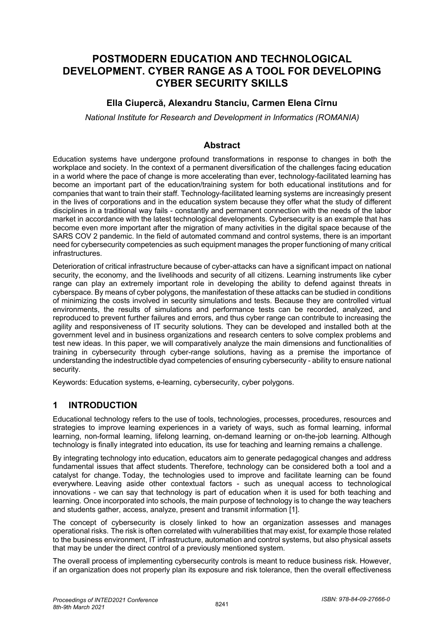# **POSTMODERN EDUCATION AND TECHNOLOGICAL DEVELOPMENT. CYBER RANGE AS A TOOL FOR DEVELOPING CYBER SECURITY SKILLS**

### **Ella Ciupercă, Alexandru Stanciu, Carmen Elena Cîrnu**

*National Institute for Research and Development in Informatics (ROMANIA)* 

#### **Abstract**

Education systems have undergone profound transformations in response to changes in both the workplace and society. In the context of a permanent diversification of the challenges facing education in a world where the pace of change is more accelerating than ever, technology-facilitated learning has become an important part of the education/training system for both educational institutions and for companies that want to train their staff. Technology-facilitated learning systems are increasingly present in the lives of corporations and in the education system because they offer what the study of different disciplines in a traditional way fails - constantly and permanent connection with the needs of the labor market in accordance with the latest technological developments. Cybersecurity is an example that has become even more important after the migration of many activities in the digital space because of the SARS COV 2 pandemic. In the field of automated command and control systems, there is an important need for cybersecurity competencies as such equipment manages the proper functioning of many critical infrastructures.

Deterioration of critical infrastructure because of cyber-attacks can have a significant impact on national security, the economy, and the livelihoods and security of all citizens. Learning instruments like cyber range can play an extremely important role in developing the ability to defend against threats in cyberspace. By means of cyber polygons, the manifestation of these attacks can be studied in conditions of minimizing the costs involved in security simulations and tests. Because they are controlled virtual environments, the results of simulations and performance tests can be recorded, analyzed, and reproduced to prevent further failures and errors, and thus cyber range can contribute to increasing the agility and responsiveness of IT security solutions. They can be developed and installed both at the government level and in business organizations and research centers to solve complex problems and test new ideas. In this paper, we will comparatively analyze the main dimensions and functionalities of training in cybersecurity through cyber-range solutions, having as a premise the importance of understanding the indestructible dyad competencies of ensuring cybersecurity - ability to ensure national security.

Keywords: Education systems, e-learning, cybersecurity, cyber polygons.

### **1 INTRODUCTION**

Educational technology refers to the use of tools, technologies, processes, procedures, resources and strategies to improve learning experiences in a variety of ways, such as formal learning, informal learning, non-formal learning, lifelong learning, on-demand learning or on-the-job learning. Although technology is finally integrated into education, its use for teaching and learning remains a challenge.

By integrating technology into education, educators aim to generate pedagogical changes and address fundamental issues that affect students. Therefore, technology can be considered both a tool and a catalyst for change. Today, the technologies used to improve and facilitate learning can be found everywhere. Leaving aside other contextual factors - such as unequal access to technological innovations - we can say that technology is part of education when it is used for both teaching and learning. Once incorporated into schools, the main purpose of technology is to change the way teachers and students gather, access, analyze, present and transmit information [1].

The concept of cybersecurity is closely linked to how an organization assesses and manages operational risks. The risk is often correlated with vulnerabilities that may exist, for example those related to the business environment, IT infrastructure, automation and control systems, but also physical assets that may be under the direct control of a previously mentioned system.

The overall process of implementing cybersecurity controls is meant to reduce business risk. However, if an organization does not properly plan its exposure and risk tolerance, then the overall effectiveness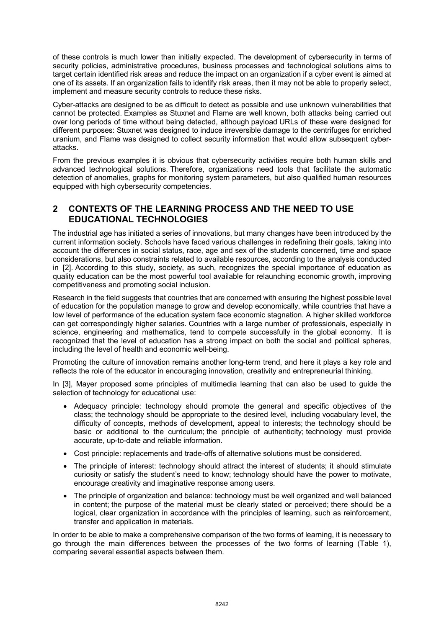of these controls is much lower than initially expected. The development of cybersecurity in terms of security policies, administrative procedures, business processes and technological solutions aims to target certain identified risk areas and reduce the impact on an organization if a cyber event is aimed at one of its assets. If an organization fails to identify risk areas, then it may not be able to properly select, implement and measure security controls to reduce these risks.

Cyber-attacks are designed to be as difficult to detect as possible and use unknown vulnerabilities that cannot be protected. Examples as Stuxnet and Flame are well known, both attacks being carried out over long periods of time without being detected, although payload URLs of these were designed for different purposes: Stuxnet was designed to induce irreversible damage to the centrifuges for enriched uranium, and Flame was designed to collect security information that would allow subsequent cyberattacks.

From the previous examples it is obvious that cybersecurity activities require both human skills and advanced technological solutions. Therefore, organizations need tools that facilitate the automatic detection of anomalies, graphs for monitoring system parameters, but also qualified human resources equipped with high cybersecurity competencies.

### **2 CONTEXTS OF THE LEARNING PROCESS AND THE NEED TO USE EDUCATIONAL TECHNOLOGIES**

The industrial age has initiated a series of innovations, but many changes have been introduced by the current information society. Schools have faced various challenges in redefining their goals, taking into account the differences in social status, race, age and sex of the students concerned, time and space considerations, but also constraints related to available resources, according to the analysis conducted in [2]. According to this study, society, as such, recognizes the special importance of education as quality education can be the most powerful tool available for relaunching economic growth, improving competitiveness and promoting social inclusion.

Research in the field suggests that countries that are concerned with ensuring the highest possible level of education for the population manage to grow and develop economically, while countries that have a low level of performance of the education system face economic stagnation. A higher skilled workforce can get correspondingly higher salaries. Countries with a large number of professionals, especially in science, engineering and mathematics, tend to compete successfully in the global economy. It is recognized that the level of education has a strong impact on both the social and political spheres, including the level of health and economic well-being.

Promoting the culture of innovation remains another long-term trend, and here it plays a key role and reflects the role of the educator in encouraging innovation, creativity and entrepreneurial thinking.

In [3], Mayer proposed some principles of multimedia learning that can also be used to guide the selection of technology for educational use:

- Adequacy principle: technology should promote the general and specific objectives of the class; the technology should be appropriate to the desired level, including vocabulary level, the difficulty of concepts, methods of development, appeal to interests; the technology should be basic or additional to the curriculum; the principle of authenticity; technology must provide accurate, up-to-date and reliable information.
- Cost principle: replacements and trade-offs of alternative solutions must be considered.
- The principle of interest: technology should attract the interest of students; it should stimulate curiosity or satisfy the student's need to know; technology should have the power to motivate, encourage creativity and imaginative response among users.
- The principle of organization and balance: technology must be well organized and well balanced in content; the purpose of the material must be clearly stated or perceived; there should be a logical, clear organization in accordance with the principles of learning, such as reinforcement, transfer and application in materials.

In order to be able to make a comprehensive comparison of the two forms of learning, it is necessary to go through the main differences between the processes of the two forms of learning (Table 1), comparing several essential aspects between them.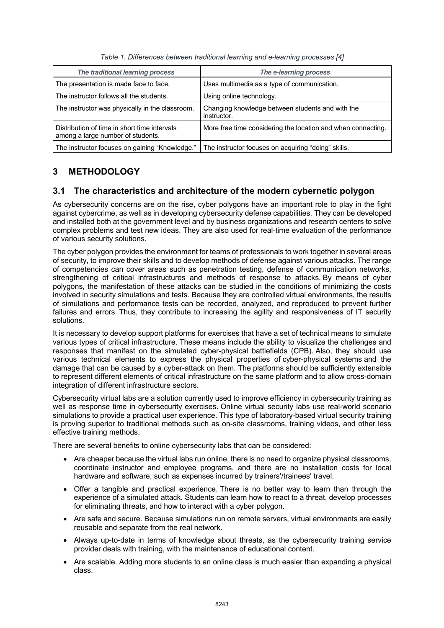| The traditional learning process                                                  | The e-learning process                                          |
|-----------------------------------------------------------------------------------|-----------------------------------------------------------------|
| The presentation is made face to face.                                            | Uses multimedia as a type of communication.                     |
| The instructor follows all the students.                                          | Using online technology.                                        |
| The instructor was physically in the classroom.                                   | Changing knowledge between students and with the<br>instructor. |
| Distribution of time in short time intervals<br>among a large number of students. | More free time considering the location and when connecting.    |
| The instructor focuses on gaining "Knowledge."                                    | The instructor focuses on acquiring "doing" skills.             |

*Table 1. Differences between traditional learning and e-learning processes [4]*

## **3 METHODOLOGY**

### **3.1 The characteristics and architecture of the modern cybernetic polygon**

As cybersecurity concerns are on the rise, cyber polygons have an important role to play in the fight against cybercrime, as well as in developing cybersecurity defense capabilities. They can be developed and installed both at the government level and by business organizations and research centers to solve complex problems and test new ideas. They are also used for real-time evaluation of the performance of various security solutions.

The cyber polygon provides the environment for teams of professionals to work together in several areas of security, to improve their skills and to develop methods of defense against various attacks. The range of competencies can cover areas such as penetration testing, defense of communication networks, strengthening of critical infrastructures and methods of response to attacks. By means of cyber polygons, the manifestation of these attacks can be studied in the conditions of minimizing the costs involved in security simulations and tests. Because they are controlled virtual environments, the results of simulations and performance tests can be recorded, analyzed, and reproduced to prevent further failures and errors. Thus, they contribute to increasing the agility and responsiveness of IT security solutions.

It is necessary to develop support platforms for exercises that have a set of technical means to simulate various types of critical infrastructure. These means include the ability to visualize the challenges and responses that manifest on the simulated cyber-physical battlefields (CPB). Also, they should use various technical elements to express the physical properties of cyber-physical systems and the damage that can be caused by a cyber-attack on them. The platforms should be sufficiently extensible to represent different elements of critical infrastructure on the same platform and to allow cross-domain integration of different infrastructure sectors.

Cybersecurity virtual labs are a solution currently used to improve efficiency in cybersecurity training as well as response time in cybersecurity exercises. Online virtual security labs use real-world scenario simulations to provide a practical user experience. This type of laboratory-based virtual security training is proving superior to traditional methods such as on-site classrooms, training videos, and other less effective training methods.

There are several benefits to online cybersecurity labs that can be considered:

- Are cheaper because the virtual labs run online, there is no need to organize physical classrooms, coordinate instructor and employee programs, and there are no installation costs for local hardware and software, such as expenses incurred by trainers'/trainees' travel.
- Offer a tangible and practical experience. There is no better way to learn than through the experience of a simulated attack. Students can learn how to react to a threat, develop processes for eliminating threats, and how to interact with a cyber polygon.
- Are safe and secure. Because simulations run on remote servers, virtual environments are easily reusable and separate from the real network.
- Always up-to-date in terms of knowledge about threats, as the cybersecurity training service provider deals with training, with the maintenance of educational content.
- Are scalable. Adding more students to an online class is much easier than expanding a physical class.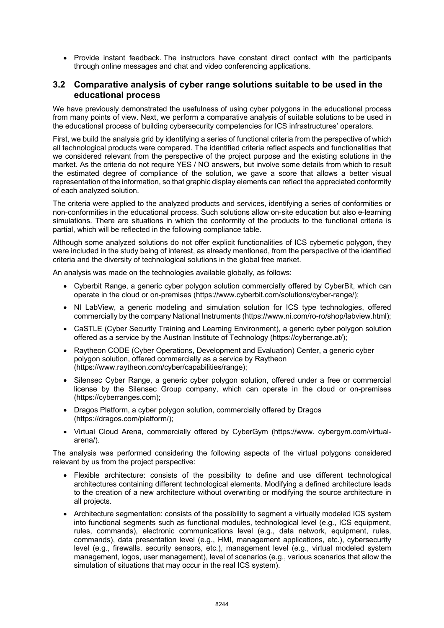• Provide instant feedback. The instructors have constant direct contact with the participants through online messages and chat and video conferencing applications.

#### **3.2 Comparative analysis of cyber range solutions suitable to be used in the educational process**

We have previously demonstrated the usefulness of using cyber polygons in the educational process from many points of view. Next, we perform a comparative analysis of suitable solutions to be used in the educational process of building cybersecurity competencies for ICS infrastructures' operators.

First, we build the analysis grid by identifying a series of functional criteria from the perspective of which all technological products were compared. The identified criteria reflect aspects and functionalities that we considered relevant from the perspective of the project purpose and the existing solutions in the market. As the criteria do not require YES / NO answers, but involve some details from which to result the estimated degree of compliance of the solution, we gave a score that allows a better visual representation of the information, so that graphic display elements can reflect the appreciated conformity of each analyzed solution.

The criteria were applied to the analyzed products and services, identifying a series of conformities or non-conformities in the educational process. Such solutions allow on-site education but also e-learning simulations. There are situations in which the conformity of the products to the functional criteria is partial, which will be reflected in the following compliance table.

Although some analyzed solutions do not offer explicit functionalities of ICS cybernetic polygon, they were included in the study being of interest, as already mentioned, from the perspective of the identified criteria and the diversity of technological solutions in the global free market.

An analysis was made on the technologies available globally, as follows:

- Cyberbit Range, a generic cyber polygon solution commercially offered by CyberBit, which can operate in the cloud or on-premises (https://www.cyberbit.com/solutions/cyber-range/);
- NI LabView, a generic modeling and simulation solution for ICS type technologies, offered commercially by the company National Instruments (https://www.ni.com/ro-ro/shop/labview.html);
- CaSTLE (Cyber Security Training and Learning Environment), a generic cyber polygon solution offered as a service by the Austrian Institute of Technology (https://cyberrange.at/);
- Raytheon CODE (Cyber Operations, Development and Evaluation) Center, a generic cyber polygon solution, offered commercially as a service by Raytheon (https://www.raytheon.com/cyber/capabilities/range);
- Silensec Cyber Range, a generic cyber polygon solution, offered under a free or commercial license by the Silensec Group company, which can operate in the cloud or on-premises (https://cyberranges.com);
- Dragos Platform, a cyber polygon solution, commercially offered by Dragos (https://dragos.com/platform/);
- Virtual Cloud Arena, commercially offered by CyberGym (https://www. cybergym.com/virtualarena/).

The analysis was performed considering the following aspects of the virtual polygons considered relevant by us from the project perspective:

- Flexible architecture: consists of the possibility to define and use different technological architectures containing different technological elements. Modifying a defined architecture leads to the creation of a new architecture without overwriting or modifying the source architecture in all projects.
- Architecture segmentation: consists of the possibility to segment a virtually modeled ICS system into functional segments such as functional modules, technological level (e.g., ICS equipment, rules, commands), electronic communications level (e.g., data network, equipment, rules, commands), data presentation level (e.g., HMI, management applications, etc.), cybersecurity level (e.g., firewalls, security sensors, etc.), management level (e.g., virtual modeled system management, logos, user management), level of scenarios (e.g., various scenarios that allow the simulation of situations that may occur in the real ICS system).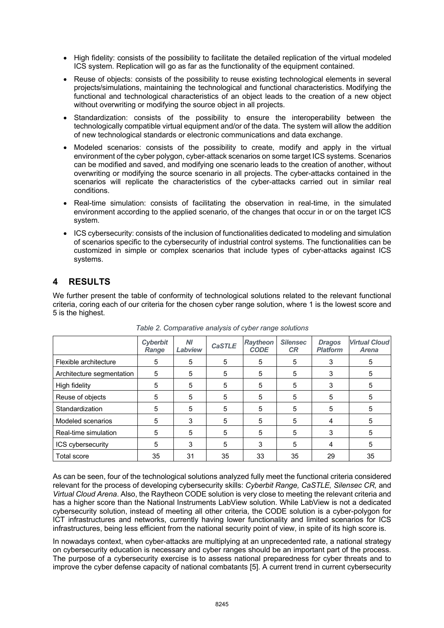- High fidelity: consists of the possibility to facilitate the detailed replication of the virtual modeled ICS system. Replication will go as far as the functionality of the equipment contained.
- Reuse of objects: consists of the possibility to reuse existing technological elements in several projects/simulations, maintaining the technological and functional characteristics. Modifying the functional and technological characteristics of an object leads to the creation of a new object without overwriting or modifying the source object in all projects.
- Standardization: consists of the possibility to ensure the interoperability between the technologically compatible virtual equipment and/or of the data. The system will allow the addition of new technological standards or electronic communications and data exchange.
- Modeled scenarios: consists of the possibility to create, modify and apply in the virtual environment of the cyber polygon, cyber-attack scenarios on some target ICS systems. Scenarios can be modified and saved, and modifying one scenario leads to the creation of another, without overwriting or modifying the source scenario in all projects. The cyber-attacks contained in the scenarios will replicate the characteristics of the cyber-attacks carried out in similar real conditions.
- Real-time simulation: consists of facilitating the observation in real-time, in the simulated environment according to the applied scenario, of the changes that occur in or on the target ICS system.
- ICS cybersecurity: consists of the inclusion of functionalities dedicated to modeling and simulation of scenarios specific to the cybersecurity of industrial control systems. The functionalities can be customized in simple or complex scenarios that include types of cyber-attacks against ICS systems.

# **4 RESULTS**

We further present the table of conformity of technological solutions related to the relevant functional criteria, coring each of our criteria for the chosen cyber range solution, where 1 is the lowest score and 5 is the highest.

|                           | <b>Cyberbit</b><br>Range | NI<br>Labview | <b>CaSTLE</b> | <b>Raytheon</b><br><b>CODE</b> | <b>Silensec</b><br><b>CR</b> | <b>Dragos</b><br><b>Platform</b> | <b>Virtual Cloud</b><br><b>Arena</b> |
|---------------------------|--------------------------|---------------|---------------|--------------------------------|------------------------------|----------------------------------|--------------------------------------|
| Flexible architecture     | 5                        | 5             | 5             | 5                              | 5                            | 3                                | 5                                    |
| Architecture segmentation | 5                        | 5             | 5             | 5                              | 5                            | 3                                | 5                                    |
| High fidelity             | 5                        | 5             | 5             | 5                              | 5                            | 3                                | 5                                    |
| Reuse of objects          | 5                        | 5             | 5             | 5                              | 5                            | 5                                | 5                                    |
| Standardization           | 5                        | 5             | 5             | 5                              | 5                            | 5                                | 5                                    |
| Modeled scenarios         | 5                        | 3             | 5             | 5                              | 5                            | 4                                | 5                                    |
| Real-time simulation      | 5                        | 5             | 5             | 5                              | 5                            | 3                                | 5                                    |
| ICS cybersecurity         | 5                        | 3             | 5             | 3                              | 5                            | 4                                | 5                                    |
| Total score               | 35                       | 31            | 35            | 33                             | 35                           | 29                               | 35                                   |

*Table 2. Comparative analysis of cyber range solutions*

As can be seen, four of the technological solutions analyzed fully meet the functional criteria considered relevant for the process of developing cybersecurity skills: *Cyberbit Range, CaSTLE, Silensec CR,* and *Virtual Cloud Arena*. Also, the Raytheon CODE solution is very close to meeting the relevant criteria and has a higher score than the National Instruments LabView solution. While LabView is not a dedicated cybersecurity solution, instead of meeting all other criteria, the CODE solution is a cyber-polygon for ICT infrastructures and networks, currently having lower functionality and limited scenarios for ICS infrastructures, being less efficient from the national security point of view, in spite of its high score is.

In nowadays context, when cyber-attacks are multiplying at an unprecedented rate, a national strategy on cybersecurity education is necessary and cyber ranges should be an important part of the process. The purpose of a cybersecurity exercise is to assess national preparedness for cyber threats and to improve the cyber defense capacity of national combatants [5]. A current trend in current cybersecurity